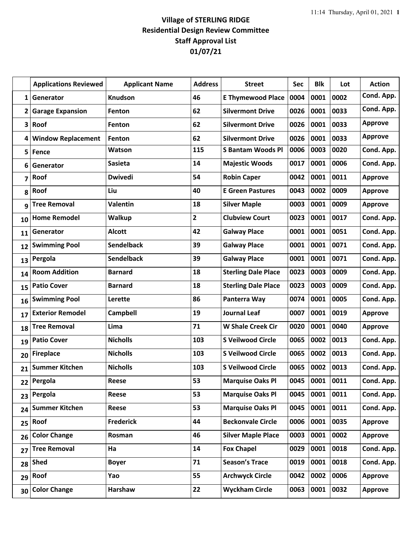## **Village of STERLING RIDGE Residential Design Review Committee Staff Approval List 01/07/21**

| <b>Applications Reviewed</b> | <b>Applicant Name</b>                     | <b>Address</b>          | <b>Street</b>              | <b>Sec</b> | <b>Blk</b> | Lot  | <b>Action</b>  |
|------------------------------|-------------------------------------------|-------------------------|----------------------------|------------|------------|------|----------------|
| Generator                    | <b>Knudson</b>                            | 46                      | <b>E Thymewood Place</b>   | 0004       | 0001       | 0002 | Cond. App.     |
| <b>Garage Expansion</b>      | Fenton                                    | 62                      | <b>Silvermont Drive</b>    | 0026       | 0001       | 0033 | Cond. App.     |
| Roof                         | Fenton                                    | 62                      | <b>Silvermont Drive</b>    | 0026       | 0001       | 0033 | <b>Approve</b> |
| <b>Window Replacement</b>    | Fenton                                    | 62                      | <b>Silvermont Drive</b>    | 0026       | 0001       | 0033 | <b>Approve</b> |
| Fence                        | Watson                                    | 115                     | <b>S Bantam Woods Pl</b>   | 0006       | 0003       | 0020 | Cond. App.     |
| Generator                    | <b>Sasieta</b>                            | 14                      | <b>Majestic Woods</b>      | 0017       | 0001       | 0006 | Cond. App.     |
| Roof                         | <b>Dwivedi</b>                            | 54                      | <b>Robin Caper</b>         | 0042       | 0001       | 0011 | <b>Approve</b> |
| Roof                         | Liu                                       | 40                      | <b>E Green Pastures</b>    | 0043       | 0002       | 0009 | <b>Approve</b> |
| <b>Tree Removal</b>          | <b>Valentin</b>                           | 18                      | <b>Silver Maple</b>        | 0003       | 0001       | 0009 | <b>Approve</b> |
| <b>Home Remodel</b>          | Walkup                                    | $\overline{\mathbf{2}}$ | <b>Clubview Court</b>      | 0023       | 0001       | 0017 | Cond. App.     |
| Generator                    | <b>Alcott</b>                             | 42                      | <b>Galway Place</b>        | 0001       | 0001       | 0051 | Cond. App.     |
| <b>Swimming Pool</b>         | <b>Sendelback</b>                         | 39                      | <b>Galway Place</b>        | 0001       | 0001       | 0071 | Cond. App.     |
| Pergola                      | <b>Sendelback</b>                         | 39                      | <b>Galway Place</b>        | 0001       | 0001       | 0071 | Cond. App.     |
| <b>Room Addition</b>         | <b>Barnard</b>                            | 18                      | <b>Sterling Dale Place</b> | 0023       | 0003       | 0009 | Cond. App.     |
| <b>Patio Cover</b>           | <b>Barnard</b>                            | 18                      | <b>Sterling Dale Place</b> | 0023       | 0003       | 0009 | Cond. App.     |
| <b>Swimming Pool</b>         | Lerette                                   | 86                      | Panterra Way               | 0074       | 0001       | 0005 | Cond. App.     |
| <b>Exterior Remodel</b>      | <b>Campbell</b>                           | 19                      | <b>Journal Leaf</b>        | 0007       | 0001       | 0019 | <b>Approve</b> |
| <b>Tree Removal</b>          | Lima                                      | 71                      | <b>W Shale Creek Cir</b>   | 0020       | 0001       | 0040 | <b>Approve</b> |
| <b>Patio Cover</b>           | <b>Nicholls</b>                           | 103                     | <b>S Veilwood Circle</b>   | 0065       | 0002       | 0013 | Cond. App.     |
| <b>Fireplace</b>             | <b>Nicholls</b>                           | 103                     | <b>S Veilwood Circle</b>   | 0065       | 0002       | 0013 | Cond. App.     |
| <b>Summer Kitchen</b>        | <b>Nicholls</b>                           | 103                     | <b>S Veilwood Circle</b>   | 0065       | 0002       | 0013 | Cond. App.     |
| Pergola                      | Reese                                     | 53                      | <b>Marquise Oaks Pl</b>    | 0045       | 0001       | 0011 | Cond. App.     |
| Pergola                      | Reese                                     | 53                      | <b>Marquise Oaks Pl</b>    | 0045       | 0001       | 0011 | Cond. App.     |
| <b>Summer Kitchen</b>        | Reese                                     | 53                      | <b>Marquise Oaks Pl</b>    | 0045       | 0001       | 0011 | Cond. App.     |
| Roof                         | <b>Frederick</b>                          | 44                      | <b>Beckonvale Circle</b>   | 0006       | 0001       | 0035 | <b>Approve</b> |
| <b>Color Change</b>          | Rosman                                    | 46                      | <b>Silver Maple Place</b>  | 0003       | 0001       | 0002 | <b>Approve</b> |
| <b>Tree Removal</b>          | Ha                                        | 14                      | <b>Fox Chapel</b>          | 0029       | 0001       | 0018 | Cond. App.     |
| <b>Shed</b>                  | <b>Boyer</b>                              | 71                      | <b>Season's Trace</b>      | 0019       | 0001       | 0018 | Cond. App.     |
| Roof                         | Yao                                       | 55                      | <b>Archwyck Circle</b>     | 0042       | 0002       | 0006 | <b>Approve</b> |
| <b>Color Change</b>          | Harshaw                                   | 22                      | <b>Wyckham Circle</b>      | 0063       | 0001       | 0032 | <b>Approve</b> |
| 1<br>3<br>5<br>28<br>30      | $\mathbf{2}$<br>4<br>22<br>23<br>24<br>25 |                         |                            |            |            |      |                |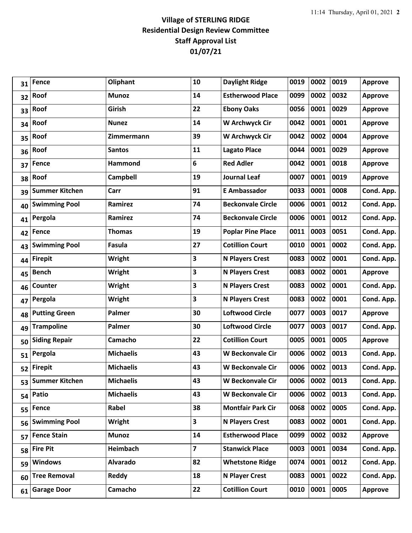## **Village of STERLING RIDGE Residential Design Review Committee Staff Approval List 01/07/21**

| 31 | <b>Fence</b>          | Oliphant         | 10 | <b>Daylight Ridge</b>    | 0019 | 0002      | 0019 | <b>Approve</b> |
|----|-----------------------|------------------|----|--------------------------|------|-----------|------|----------------|
| 32 | Roof                  | <b>Munoz</b>     | 14 | <b>Estherwood Place</b>  | 0099 | 0002      | 0032 | <b>Approve</b> |
| 33 | Roof                  | Girish           | 22 | <b>Ebony Oaks</b>        | 0056 | 0001      | 0029 | <b>Approve</b> |
| 34 | Roof                  | <b>Nunez</b>     | 14 | <b>W Archwyck Cir</b>    | 0042 | 0001      | 0001 | <b>Approve</b> |
| 35 | Roof                  | Zimmermann       | 39 | W Archwyck Cir           | 0042 | 0002      | 0004 | <b>Approve</b> |
| 36 | Roof                  | <b>Santos</b>    | 11 | <b>Lagato Place</b>      | 0044 | 0001      | 0029 | <b>Approve</b> |
| 37 | <b>Fence</b>          | Hammond          | 6  | <b>Red Adler</b>         | 0042 | 0001      | 0018 | <b>Approve</b> |
| 38 | Roof                  | <b>Campbell</b>  | 19 | <b>Journal Leaf</b>      | 0007 | 0001      | 0019 | <b>Approve</b> |
| 39 | <b>Summer Kitchen</b> | Carr             | 91 | <b>E Ambassador</b>      | 0033 | 0001      | 0008 | Cond. App.     |
| 40 | <b>Swimming Pool</b>  | Ramirez          | 74 | <b>Beckonvale Circle</b> | 0006 | 0001      | 0012 | Cond. App.     |
| 41 | Pergola               | Ramirez          | 74 | <b>Beckonvale Circle</b> | 0006 | 0001      | 0012 | Cond. App.     |
| 42 | <b>Fence</b>          | <b>Thomas</b>    | 19 | <b>Poplar Pine Place</b> | 0011 | 0003      | 0051 | Cond. App.     |
| 43 | <b>Swimming Pool</b>  | Fasula           | 27 | <b>Cotillion Court</b>   | 0010 | 0001      | 0002 | Cond. App.     |
| 44 | <b>Firepit</b>        | Wright           | 3  | <b>N Players Crest</b>   | 0083 | 0002      | 0001 | Cond. App.     |
| 45 | <b>Bench</b>          | Wright           | 3  | <b>N Players Crest</b>   | 0083 | 0002      | 0001 | <b>Approve</b> |
| 46 | Counter               | Wright           | 3  | <b>N Players Crest</b>   | 0083 | 0002      | 0001 | Cond. App.     |
| 47 | Pergola               | <b>Wright</b>    | 3  | <b>N Players Crest</b>   | 0083 | 0002      | 0001 | Cond. App.     |
| 48 | <b>Putting Green</b>  | Palmer           | 30 | <b>Loftwood Circle</b>   | 0077 | 0003      | 0017 | <b>Approve</b> |
| 49 | <b>Trampoline</b>     | Palmer           | 30 | <b>Loftwood Circle</b>   | 0077 | 0003      | 0017 | Cond. App.     |
| 50 | <b>Siding Repair</b>  | Camacho          | 22 | <b>Cotillion Court</b>   | 0005 | 0001      | 0005 | <b>Approve</b> |
| 51 | Pergola               | <b>Michaelis</b> | 43 | <b>W Beckonvale Cir</b>  | 0006 | 0002      | 0013 | Cond. App.     |
| 52 | <b>Firepit</b>        | <b>Michaelis</b> | 43 | <b>W Beckonvale Cir</b>  | 0006 | 0002      | 0013 | Cond. App.     |
| 53 | <b>Summer Kitchen</b> | <b>Michaelis</b> | 43 | <b>W Beckonvale Cir</b>  | 0006 | 0002 0013 |      | Cond. App.     |
| 54 | Patio                 | <b>Michaelis</b> | 43 | <b>W Beckonvale Cir</b>  | 0006 | 0002      | 0013 | Cond. App.     |
| 55 | Fence                 | Rabel            | 38 | <b>Montfair Park Cir</b> | 0068 | 0002      | 0005 | Cond. App.     |
| 56 | <b>Swimming Pool</b>  | Wright           | 3  | <b>N Players Crest</b>   | 0083 | 0002      | 0001 | Cond. App.     |
| 57 | <b>Fence Stain</b>    | <b>Munoz</b>     | 14 | <b>Estherwood Place</b>  | 0099 | 0002      | 0032 | <b>Approve</b> |
| 58 | <b>Fire Pit</b>       | Heimbach         | 7  | <b>Stanwick Place</b>    | 0003 | 0001      | 0034 | Cond. App.     |
| 59 | <b>Windows</b>        | <b>Alvarado</b>  | 82 | <b>Whetstone Ridge</b>   | 0074 | 0001      | 0012 | Cond. App.     |
| 60 | <b>Tree Removal</b>   | Reddy            | 18 | N Player Crest           | 0083 | 0001      | 0022 | Cond. App.     |
| 61 | <b>Garage Door</b>    | Camacho          | 22 | <b>Cotillion Court</b>   | 0010 | 0001      | 0005 | <b>Approve</b> |